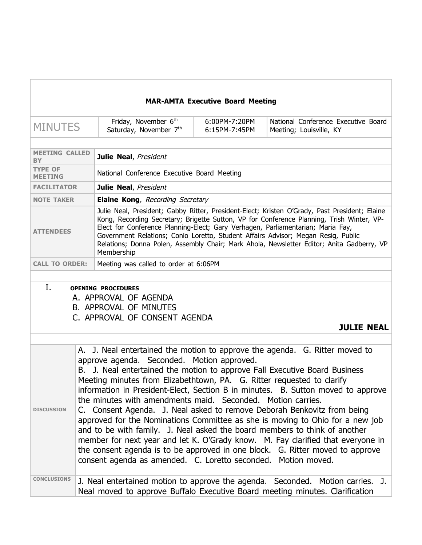| <b>MAR-AMTA Executive Board Meeting</b> |                                                                                                                                                                                                                                                                                                                                                                                                                                                                                                                                                                                                                                                                                                                                                                                                                                                                                                                     |                                                                                                                                                                                                                                                                                                                                                                                                                                                                               |                                |                                                                                                                                                                |  |
|-----------------------------------------|---------------------------------------------------------------------------------------------------------------------------------------------------------------------------------------------------------------------------------------------------------------------------------------------------------------------------------------------------------------------------------------------------------------------------------------------------------------------------------------------------------------------------------------------------------------------------------------------------------------------------------------------------------------------------------------------------------------------------------------------------------------------------------------------------------------------------------------------------------------------------------------------------------------------|-------------------------------------------------------------------------------------------------------------------------------------------------------------------------------------------------------------------------------------------------------------------------------------------------------------------------------------------------------------------------------------------------------------------------------------------------------------------------------|--------------------------------|----------------------------------------------------------------------------------------------------------------------------------------------------------------|--|
| <b>MINUTES</b>                          |                                                                                                                                                                                                                                                                                                                                                                                                                                                                                                                                                                                                                                                                                                                                                                                                                                                                                                                     | Friday, November 6th<br>Saturday, November 7th                                                                                                                                                                                                                                                                                                                                                                                                                                | 6:00PM-7:20PM<br>6:15PM-7:45PM | National Conference Executive Board<br>Meeting; Louisville, KY                                                                                                 |  |
|                                         |                                                                                                                                                                                                                                                                                                                                                                                                                                                                                                                                                                                                                                                                                                                                                                                                                                                                                                                     |                                                                                                                                                                                                                                                                                                                                                                                                                                                                               |                                |                                                                                                                                                                |  |
| <b>MEETING CALLED</b><br>ΒY             |                                                                                                                                                                                                                                                                                                                                                                                                                                                                                                                                                                                                                                                                                                                                                                                                                                                                                                                     | Julie Neal, President                                                                                                                                                                                                                                                                                                                                                                                                                                                         |                                |                                                                                                                                                                |  |
| <b>TYPE OF</b><br><b>MEETING</b>        |                                                                                                                                                                                                                                                                                                                                                                                                                                                                                                                                                                                                                                                                                                                                                                                                                                                                                                                     | National Conference Executive Board Meeting                                                                                                                                                                                                                                                                                                                                                                                                                                   |                                |                                                                                                                                                                |  |
| <b>FACILITATOR</b>                      |                                                                                                                                                                                                                                                                                                                                                                                                                                                                                                                                                                                                                                                                                                                                                                                                                                                                                                                     | Julie Neal, President                                                                                                                                                                                                                                                                                                                                                                                                                                                         |                                |                                                                                                                                                                |  |
| <b>NOTE TAKER</b>                       |                                                                                                                                                                                                                                                                                                                                                                                                                                                                                                                                                                                                                                                                                                                                                                                                                                                                                                                     | <b>Elaine Kong</b> , Recording Secretary                                                                                                                                                                                                                                                                                                                                                                                                                                      |                                |                                                                                                                                                                |  |
| <b>ATTENDEES</b>                        |                                                                                                                                                                                                                                                                                                                                                                                                                                                                                                                                                                                                                                                                                                                                                                                                                                                                                                                     | Julie Neal, President; Gabby Ritter, President-Elect; Kristen O'Grady, Past President; Elaine<br>Kong, Recording Secretary; Brigette Sutton, VP for Conference Planning, Trish Winter, VP-<br>Elect for Conference Planning-Elect; Gary Verhagen, Parliamentarian; Maria Fay,<br>Government Relations; Conio Loretto, Student Affairs Advisor; Megan Resig, Public<br>Relations; Donna Polen, Assembly Chair; Mark Ahola, Newsletter Editor; Anita Gadberry, VP<br>Membership |                                |                                                                                                                                                                |  |
| <b>CALL TO ORDER:</b>                   |                                                                                                                                                                                                                                                                                                                                                                                                                                                                                                                                                                                                                                                                                                                                                                                                                                                                                                                     | Meeting was called to order at 6:06PM                                                                                                                                                                                                                                                                                                                                                                                                                                         |                                |                                                                                                                                                                |  |
|                                         |                                                                                                                                                                                                                                                                                                                                                                                                                                                                                                                                                                                                                                                                                                                                                                                                                                                                                                                     |                                                                                                                                                                                                                                                                                                                                                                                                                                                                               |                                |                                                                                                                                                                |  |
| I.                                      |                                                                                                                                                                                                                                                                                                                                                                                                                                                                                                                                                                                                                                                                                                                                                                                                                                                                                                                     | <b>OPENING PROCEDURES</b><br>A. APPROVAL OF AGENDA<br><b>B. APPROVAL OF MINUTES</b><br>C. APPROVAL OF CONSENT AGENDA                                                                                                                                                                                                                                                                                                                                                          |                                | <b>JULIE NEAL</b>                                                                                                                                              |  |
| <b>DISCUSSION</b>                       | A. J. Neal entertained the motion to approve the agenda. G. Ritter moved to<br>approve agenda. Seconded. Motion approved.<br>B. J. Neal entertained the motion to approve Fall Executive Board Business<br>Meeting minutes from Elizabethtown, PA. G. Ritter requested to clarify<br>information in President-Elect, Section B in minutes. B. Sutton moved to approve<br>the minutes with amendments maid. Seconded. Motion carries.<br>C. Consent Agenda. J. Neal asked to remove Deborah Benkovitz from being<br>approved for the Nominations Committee as she is moving to Ohio for a new job<br>and to be with family. J. Neal asked the board members to think of another<br>member for next year and let K. O'Grady know. M. Fay clarified that everyone in<br>the consent agenda is to be approved in one block. G. Ritter moved to approve<br>consent agenda as amended. C. Loretto seconded. Motion moved. |                                                                                                                                                                                                                                                                                                                                                                                                                                                                               |                                |                                                                                                                                                                |  |
| <b>CONCLUSIONS</b>                      |                                                                                                                                                                                                                                                                                                                                                                                                                                                                                                                                                                                                                                                                                                                                                                                                                                                                                                                     |                                                                                                                                                                                                                                                                                                                                                                                                                                                                               |                                | J. Neal entertained motion to approve the agenda. Seconded. Motion carries. J.<br>Neal moved to approve Buffalo Executive Board meeting minutes. Clarification |  |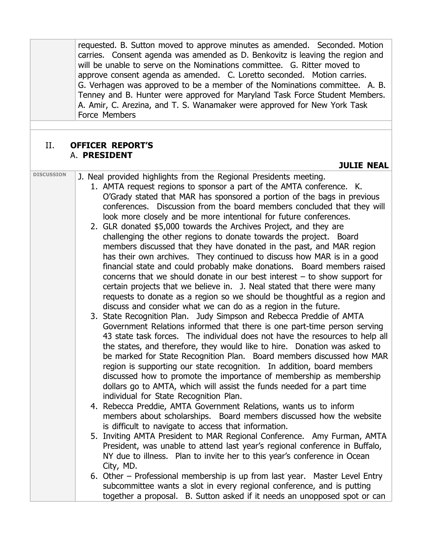requested. B. Sutton moved to approve minutes as amended. Seconded. Motion carries. Consent agenda was amended as D. Benkovitz is leaving the region and will be unable to serve on the Nominations committee. G. Ritter moved to approve consent agenda as amended. C. Loretto seconded. Motion carries. G. Verhagen was approved to be a member of the Nominations committee. A. B. Tenney and B. Hunter were approved for Maryland Task Force Student Members. A. Amir, C. Arezina, and T. S. Wanamaker were approved for New York Task Force Members

### II. **OFFICER REPORT'S** A. **PRESIDENT**

#### **JULIE NEAL**

- 
- **DISCUSSION** J. Neal provided highlights from the Regional Presidents meeting. 1. AMTA request regions to sponsor a part of the AMTA conference. K. O'Grady stated that MAR has sponsored a portion of the bags in previous
	- conferences. Discussion from the board members concluded that they will look more closely and be more intentional for future conferences.
	- 2. GLR donated \$5,000 towards the Archives Project, and they are challenging the other regions to donate towards the project. Board members discussed that they have donated in the past, and MAR region has their own archives. They continued to discuss how MAR is in a good financial state and could probably make donations. Board members raised concerns that we should donate in our best interest – to show support for certain projects that we believe in. J. Neal stated that there were many requests to donate as a region so we should be thoughtful as a region and discuss and consider what we can do as a region in the future.
	- 3. State Recognition Plan. Judy Simpson and Rebecca Preddie of AMTA Government Relations informed that there is one part-time person serving 43 state task forces. The individual does not have the resources to help all the states, and therefore, they would like to hire. Donation was asked to be marked for State Recognition Plan. Board members discussed how MAR region is supporting our state recognition. In addition, board members discussed how to promote the importance of membership as membership dollars go to AMTA, which will assist the funds needed for a part time individual for State Recognition Plan.
	- 4. Rebecca Preddie, AMTA Government Relations, wants us to inform members about scholarships. Board members discussed how the website is difficult to navigate to access that information.
	- 5. Inviting AMTA President to MAR Regional Conference. Amy Furman, AMTA President, was unable to attend last year's regional conference in Buffalo, NY due to illness. Plan to invite her to this year's conference in Ocean City, MD.
	- 6. Other Professional membership is up from last year. Master Level Entry subcommittee wants a slot in every regional conference, and is putting together a proposal. B. Sutton asked if it needs an unopposed spot or can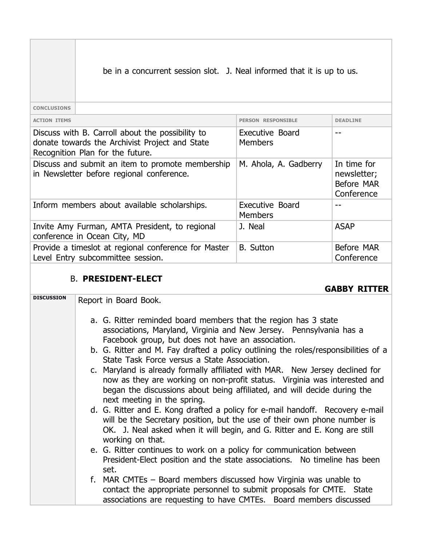be in a concurrent session slot. J. Neal informed that it is up to us.

**CONCLUSIONS**

| <b>ACTION ITEMS</b>                                                                                                                    | <b>PERSON RESPONSTBLE</b>         | <b>DEADLINE</b>                                        |
|----------------------------------------------------------------------------------------------------------------------------------------|-----------------------------------|--------------------------------------------------------|
| Discuss with B. Carroll about the possibility to<br>donate towards the Archivist Project and State<br>Recognition Plan for the future. | Executive Board<br><b>Members</b> |                                                        |
| Discuss and submit an item to promote membership<br>in Newsletter before regional conference.                                          | M. Ahola, A. Gadberry             | In time for<br>newsletter;<br>Before MAR<br>Conference |
| Inform members about available scholarships.                                                                                           | Executive Board<br><b>Members</b> |                                                        |
| Invite Amy Furman, AMTA President, to regional<br>conference in Ocean City, MD                                                         | J. Neal                           | <b>ASAP</b>                                            |
| Provide a timeslot at regional conference for Master<br>Level Entry subcommittee session.                                              | <b>B.</b> Sutton                  | Before MAR<br>Conference                               |
|                                                                                                                                        |                                   |                                                        |

### B. **PRESIDENT-ELECT**

**GABBY RITTER**

**DISCUSSION** Report in Board Book.

- a. G. Ritter reminded board members that the region has 3 state associations, Maryland, Virginia and New Jersey. Pennsylvania has a Facebook group, but does not have an association.
- b. G. Ritter and M. Fay drafted a policy outlining the roles/responsibilities of a State Task Force versus a State Association.
- c. Maryland is already formally affiliated with MAR. New Jersey declined for now as they are working on non-profit status. Virginia was interested and began the discussions about being affiliated, and will decide during the next meeting in the spring.
- d. G. Ritter and E. Kong drafted a policy for e-mail handoff. Recovery e-mail will be the Secretary position, but the use of their own phone number is OK. J. Neal asked when it will begin, and G. Ritter and E. Kong are still working on that.
- e. G. Ritter continues to work on a policy for communication between President-Elect position and the state associations. No timeline has been set.
- f. MAR CMTEs Board members discussed how Virginia was unable to contact the appropriate personnel to submit proposals for CMTE. State associations are requesting to have CMTEs. Board members discussed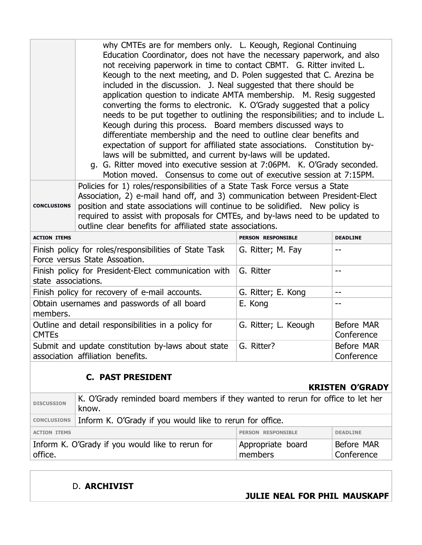|                                                                                         | why CMTEs are for members only. L. Keough, Regional Continuing<br>Education Coordinator, does not have the necessary paperwork, and also<br>not receiving paperwork in time to contact CBMT. G. Ritter invited L.<br>Keough to the next meeting, and D. Polen suggested that C. Arezina be<br>included in the discussion. J. Neal suggested that there should be<br>application question to indicate AMTA membership. M. Resig suggested<br>converting the forms to electronic. K. O'Grady suggested that a policy<br>needs to be put together to outlining the responsibilities; and to include L.<br>Keough during this process. Board members discussed ways to<br>differentiate membership and the need to outline clear benefits and<br>expectation of support for affiliated state associations. Constitution by-<br>laws will be submitted, and current by-laws will be updated.<br>g. G. Ritter moved into executive session at 7:06PM. K. O'Grady seconded.<br>Motion moved. Consensus to come out of executive session at 7:15PM. |                      |                          |
|-----------------------------------------------------------------------------------------|---------------------------------------------------------------------------------------------------------------------------------------------------------------------------------------------------------------------------------------------------------------------------------------------------------------------------------------------------------------------------------------------------------------------------------------------------------------------------------------------------------------------------------------------------------------------------------------------------------------------------------------------------------------------------------------------------------------------------------------------------------------------------------------------------------------------------------------------------------------------------------------------------------------------------------------------------------------------------------------------------------------------------------------------|----------------------|--------------------------|
| <b>CONCLUSIONS</b>                                                                      | Policies for 1) roles/responsibilities of a State Task Force versus a State<br>Association, 2) e-mail hand off, and 3) communication between President-Elect<br>position and state associations will continue to be solidified. New policy is<br>required to assist with proposals for CMTEs, and by-laws need to be updated to<br>outline clear benefits for affiliated state associations.                                                                                                                                                                                                                                                                                                                                                                                                                                                                                                                                                                                                                                                |                      |                          |
| <b>ACTION ITEMS</b>                                                                     |                                                                                                                                                                                                                                                                                                                                                                                                                                                                                                                                                                                                                                                                                                                                                                                                                                                                                                                                                                                                                                             | PERSON RESPONSIBLE   | <b>DEADLINE</b>          |
| Finish policy for roles/responsibilities of State Task<br>Force versus State Assoation. |                                                                                                                                                                                                                                                                                                                                                                                                                                                                                                                                                                                                                                                                                                                                                                                                                                                                                                                                                                                                                                             | G. Ritter; M. Fay    | --                       |
| Finish policy for President-Elect communication with<br>state associations.             |                                                                                                                                                                                                                                                                                                                                                                                                                                                                                                                                                                                                                                                                                                                                                                                                                                                                                                                                                                                                                                             | G. Ritter            | $-$                      |
| Finish policy for recovery of e-mail accounts.                                          |                                                                                                                                                                                                                                                                                                                                                                                                                                                                                                                                                                                                                                                                                                                                                                                                                                                                                                                                                                                                                                             | G. Ritter; E. Kong   | $-$                      |
| Obtain usernames and passwords of all board<br>members.                                 |                                                                                                                                                                                                                                                                                                                                                                                                                                                                                                                                                                                                                                                                                                                                                                                                                                                                                                                                                                                                                                             | E. Kong              | $-$                      |
| Outline and detail responsibilities in a policy for<br><b>CMTEs</b>                     |                                                                                                                                                                                                                                                                                                                                                                                                                                                                                                                                                                                                                                                                                                                                                                                                                                                                                                                                                                                                                                             | G. Ritter; L. Keough | Before MAR<br>Conference |
|                                                                                         | Submit and update constitution by-laws about state<br>association affiliation benefits.                                                                                                                                                                                                                                                                                                                                                                                                                                                                                                                                                                                                                                                                                                                                                                                                                                                                                                                                                     | G. Ritter?           | Before MAR<br>Conference |

## **C. PAST PRESIDENT**

### **KRISTEN O'GRADY**

| <b>DISCUSSION</b>                                           | K. O'Grady reminded board members if they wanted to rerun for office to let her<br>know. |                              |                          |
|-------------------------------------------------------------|------------------------------------------------------------------------------------------|------------------------------|--------------------------|
| <b>CONCLUSIONS</b>                                          | Inform K. O'Grady if you would like to rerun for office.                                 |                              |                          |
| <b>ACTION ITEMS</b>                                         |                                                                                          | <b>PERSON RESPONSIBLE</b>    | <b>DEADLINE</b>          |
| Inform K. O'Grady if you would like to rerun for<br>office. |                                                                                          | Appropriate board<br>members | Before MAR<br>Conference |

## D. **ARCHIVIST**

### **JULIE NEAL FOR PHIL MAUSKAPF**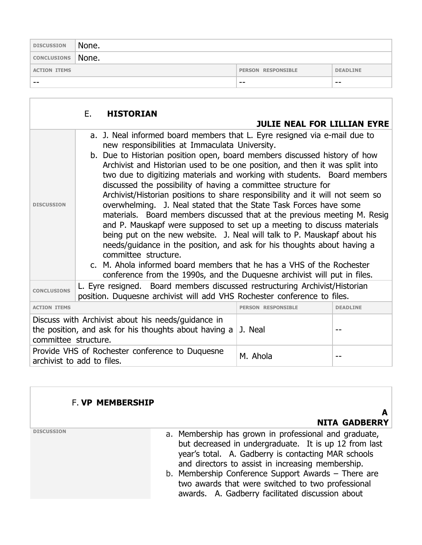| <b>DISCUSSION</b>   | None. |                           |                 |
|---------------------|-------|---------------------------|-----------------|
| CONCLUSIONS   None. |       |                           |                 |
| <b>ACTION ITEMS</b> |       | <b>PERSON RESPONSIBLE</b> | <b>DEADLINE</b> |
| --                  |       | $- -$                     | $- -$           |

|                                                                                                 | Е.                                                                                                                                             | <b>HISTORIAN</b>                                                                                                                                                                                                                                                                                                                                                                                                                                                                                                                                                                                                                                                                                                                                                                                                                                                                                                                                                                                                                                                                     |                                    |  |
|-------------------------------------------------------------------------------------------------|------------------------------------------------------------------------------------------------------------------------------------------------|--------------------------------------------------------------------------------------------------------------------------------------------------------------------------------------------------------------------------------------------------------------------------------------------------------------------------------------------------------------------------------------------------------------------------------------------------------------------------------------------------------------------------------------------------------------------------------------------------------------------------------------------------------------------------------------------------------------------------------------------------------------------------------------------------------------------------------------------------------------------------------------------------------------------------------------------------------------------------------------------------------------------------------------------------------------------------------------|------------------------------------|--|
|                                                                                                 |                                                                                                                                                |                                                                                                                                                                                                                                                                                                                                                                                                                                                                                                                                                                                                                                                                                                                                                                                                                                                                                                                                                                                                                                                                                      | <b>JULIE NEAL FOR LILLIAN EYRE</b> |  |
| <b>DISCUSSION</b>                                                                               |                                                                                                                                                | a. J. Neal informed board members that L. Eyre resigned via e-mail due to<br>new responsibilities at Immaculata University.<br>b. Due to Historian position open, board members discussed history of how<br>Archivist and Historian used to be one position, and then it was split into<br>two due to digitizing materials and working with students. Board members<br>discussed the possibility of having a committee structure for<br>Archivist/Historian positions to share responsibility and it will not seem so<br>overwhelming. J. Neal stated that the State Task Forces have some<br>materials. Board members discussed that at the previous meeting M. Resig<br>and P. Mauskapf were supposed to set up a meeting to discuss materials<br>being put on the new website. J. Neal will talk to P. Mauskapf about his<br>needs/guidance in the position, and ask for his thoughts about having a<br>committee structure.<br>c. M. Ahola informed board members that he has a VHS of the Rochester<br>conference from the 1990s, and the Duquesne archivist will put in files. |                                    |  |
| <b>CONCLUSIONS</b>                                                                              |                                                                                                                                                | L. Eyre resigned. Board members discussed restructuring Archivist/Historian<br>position. Duquesne archivist will add VHS Rochester conference to files.                                                                                                                                                                                                                                                                                                                                                                                                                                                                                                                                                                                                                                                                                                                                                                                                                                                                                                                              |                                    |  |
| <b>ACTION ITEMS</b>                                                                             | <b>PERSON RESPONSIBLE</b><br><b>DEADLINE</b>                                                                                                   |                                                                                                                                                                                                                                                                                                                                                                                                                                                                                                                                                                                                                                                                                                                                                                                                                                                                                                                                                                                                                                                                                      |                                    |  |
|                                                                                                 | Discuss with Archivist about his needs/guidance in<br>the position, and ask for his thoughts about having a<br>J. Neal<br>committee structure. |                                                                                                                                                                                                                                                                                                                                                                                                                                                                                                                                                                                                                                                                                                                                                                                                                                                                                                                                                                                                                                                                                      |                                    |  |
| Provide VHS of Rochester conference to Duquesne<br>M. Ahola<br>--<br>archivist to add to files. |                                                                                                                                                |                                                                                                                                                                                                                                                                                                                                                                                                                                                                                                                                                                                                                                                                                                                                                                                                                                                                                                                                                                                                                                                                                      |                                    |  |

### F. **VP MEMBERSHIP**

 **A NITA GADBERRY**

- **DISCUSSION DISCUSSION a. Membership has grown in professional and graduate,** but decreased in undergraduate. It is up 12 from last year's total. A. Gadberry is contacting MAR schools and directors to assist in increasing membership.
	- b. Membership Conference Support Awards There are two awards that were switched to two professional awards. A. Gadberry facilitated discussion about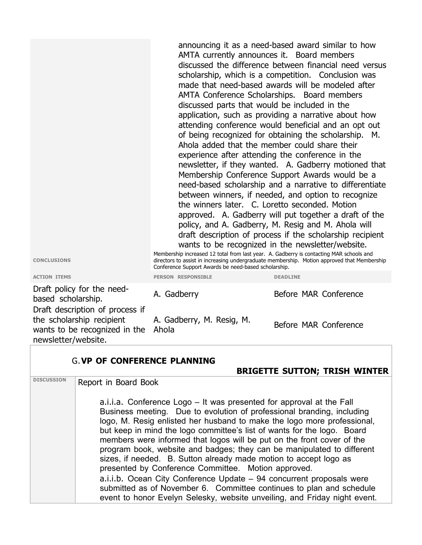announcing it as a need-based award similar to how AMTA currently announces it. Board members discussed the difference between financial need versus scholarship, which is a competition. Conclusion was made that need-based awards will be modeled after AMTA Conference Scholarships. Board members discussed parts that would be included in the application, such as providing a narrative about how attending conference would beneficial and an opt out of being recognized for obtaining the scholarship. M. Ahola added that the member could share their experience after attending the conference in the newsletter, if they wanted. A. Gadberry motioned that Membership Conference Support Awards would be a need-based scholarship and a narrative to differentiate between winners, if needed, and option to recognize the winners later. C. Loretto seconded. Motion approved. A. Gadberry will put together a draft of the policy, and A. Gadberry, M. Resig and M. Ahola will draft description of process if the scholarship recipient wants to be recognized in the newsletter/website.

Membership increased 12 total from last year. A. Gadberry is contacting MAR schools and directors to assist in increasing undergraduate membership. Motion approved that Membership Conference Support Awards be need-based scholarship.

**CONCLUSIONS**

Draft policy for the need-Draft description of process if the scholarship recipient wants to be recognized in the Ahola newsletter/website.

G.**VP OF CONFERENCE PLANNING BRIGETTE SUTTON; TRISH WINTER DISCUSSION** Report in Board Book a.i.i.a. Conference Logo – It was presented for approval at the Fall Business meeting. Due to evolution of professional branding, including logo, M. Resig enlisted her husband to make the logo more professional, but keep in mind the logo committee's list of wants for the logo. Board members were informed that logos will be put on the front cover of the program book, website and badges; they can be manipulated to different sizes, if needed. B. Sutton already made motion to accept logo as presented by Conference Committee. Motion approved. a.i.i.b. Ocean City Conference Update – 94 concurrent proposals were submitted as of November 6. Committee continues to plan and schedule event to honor Evelyn Selesky, website unveiling, and Friday night event.

A. Gadberry, M. Resig, M.

# **ACTION ITEMS PERSON RESPONSIBLE DEADLINE** brait policy for the need<br>based scholarship. A. Gadberry **Before MAR** Conference

Before MAR Conference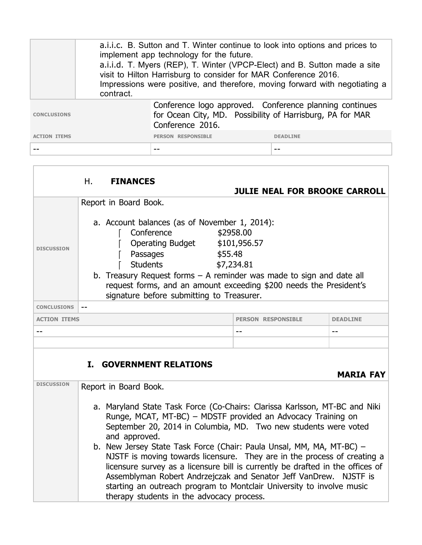|                     | a.i.i.c. B. Sutton and T. Winter continue to look into options and prices to<br>implement app technology for the future.<br>a.i.i.d. T. Myers (REP), T. Winter (VPCP-Elect) and B. Sutton made a site<br>visit to Hilton Harrisburg to consider for MAR Conference 2016.<br>Impressions were positive, and therefore, moving forward with negotiating a<br>contract. |                                                                                                                                          |                 |
|---------------------|----------------------------------------------------------------------------------------------------------------------------------------------------------------------------------------------------------------------------------------------------------------------------------------------------------------------------------------------------------------------|------------------------------------------------------------------------------------------------------------------------------------------|-----------------|
| <b>CONCLUSIONS</b>  |                                                                                                                                                                                                                                                                                                                                                                      | Conference logo approved. Conference planning continues<br>for Ocean City, MD. Possibility of Harrisburg, PA for MAR<br>Conference 2016. |                 |
| <b>ACTION ITEMS</b> |                                                                                                                                                                                                                                                                                                                                                                      | <b>PERSON RESPONSIBLE</b>                                                                                                                | <b>DEADLINE</b> |
|                     |                                                                                                                                                                                                                                                                                                                                                                      |                                                                                                                                          |                 |

|                                                    | Η.  | <b>FINANCES</b>                                                                                                                                                                                                                                                                                                                                                                                                                                                                                                                                                                                                                                                                          |                                         |                 |
|----------------------------------------------------|-----|------------------------------------------------------------------------------------------------------------------------------------------------------------------------------------------------------------------------------------------------------------------------------------------------------------------------------------------------------------------------------------------------------------------------------------------------------------------------------------------------------------------------------------------------------------------------------------------------------------------------------------------------------------------------------------------|-----------------------------------------|-----------------|
|                                                    |     |                                                                                                                                                                                                                                                                                                                                                                                                                                                                                                                                                                                                                                                                                          | <b>JULIE NEAL FOR BROOKE CARROLL</b>    |                 |
| <b>DISCUSSION</b>                                  |     | Report in Board Book.<br>a. Account balances (as of November 1, 2014):<br>Conference<br><b>Operating Budget</b><br>Passages<br>\$55.48<br>Students<br>b. Treasury Request forms $-$ A reminder was made to sign and date all<br>request forms, and an amount exceeding \$200 needs the President's<br>signature before submitting to Treasurer.                                                                                                                                                                                                                                                                                                                                          | \$2958.00<br>\$101,956.57<br>\$7,234.81 |                 |
| <b>CONCLUSIONS</b>                                 | $-$ |                                                                                                                                                                                                                                                                                                                                                                                                                                                                                                                                                                                                                                                                                          |                                         |                 |
| <b>ACTION ITEMS</b>                                |     |                                                                                                                                                                                                                                                                                                                                                                                                                                                                                                                                                                                                                                                                                          | <b>PERSON RESPONSIBLE</b>               | <b>DEADLINE</b> |
|                                                    |     |                                                                                                                                                                                                                                                                                                                                                                                                                                                                                                                                                                                                                                                                                          | $ -$                                    | --              |
|                                                    |     |                                                                                                                                                                                                                                                                                                                                                                                                                                                                                                                                                                                                                                                                                          |                                         |                 |
| <b>I. GOVERNMENT RELATIONS</b><br><b>MARIA FAY</b> |     |                                                                                                                                                                                                                                                                                                                                                                                                                                                                                                                                                                                                                                                                                          |                                         |                 |
| <b>DISCUSSION</b>                                  |     | Report in Board Book.<br>a. Maryland State Task Force (Co-Chairs: Clarissa Karlsson, MT-BC and Niki<br>Runge, MCAT, MT-BC) - MDSTF provided an Advocacy Training on<br>September 20, 2014 in Columbia, MD. Two new students were voted<br>and approved.<br>b. New Jersey State Task Force (Chair: Paula Unsal, MM, MA, MT-BC) -<br>NJSTF is moving towards licensure. They are in the process of creating a<br>licensure survey as a licensure bill is currently be drafted in the offices of<br>Assemblyman Robert Andrzejczak and Senator Jeff VanDrew. NJSTF is<br>starting an outreach program to Montclair University to involve music<br>therapy students in the advocacy process. |                                         |                 |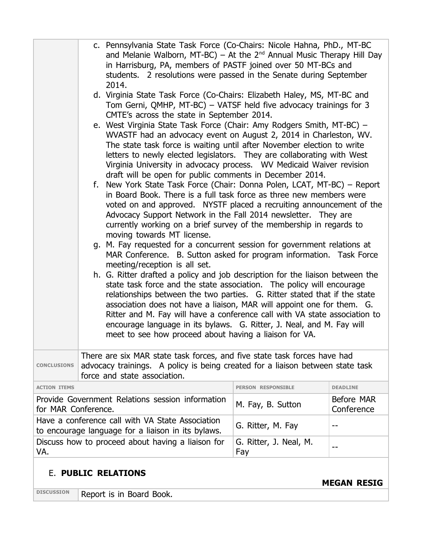|                                                                                                 |  | c. Pennsylvania State Task Force (Co-Chairs: Nicole Hahna, PhD., MT-BC<br>and Melanie Walborn, MT-BC) – At the $2^{nd}$ Annual Music Therapy Hill Day<br>in Harrisburg, PA, members of PASTF joined over 50 MT-BCs and<br>students. 2 resolutions were passed in the Senate during September                                                                                                                                                                                                                                   |                           |                          |
|-------------------------------------------------------------------------------------------------|--|--------------------------------------------------------------------------------------------------------------------------------------------------------------------------------------------------------------------------------------------------------------------------------------------------------------------------------------------------------------------------------------------------------------------------------------------------------------------------------------------------------------------------------|---------------------------|--------------------------|
|                                                                                                 |  | 2014.<br>d. Virginia State Task Force (Co-Chairs: Elizabeth Haley, MS, MT-BC and<br>Tom Gerni, QMHP, MT-BC) - VATSF held five advocacy trainings for 3<br>CMTE's across the state in September 2014.                                                                                                                                                                                                                                                                                                                           |                           |                          |
|                                                                                                 |  | e. West Virginia State Task Force (Chair: Amy Rodgers Smith, MT-BC) -<br>WVASTF had an advocacy event on August 2, 2014 in Charleston, WV.<br>The state task force is waiting until after November election to write<br>letters to newly elected legislators. They are collaborating with West<br>Virginia University in advocacy process. WV Medicaid Waiver revision<br>draft will be open for public comments in December 2014.                                                                                             |                           |                          |
|                                                                                                 |  | f. New York State Task Force (Chair: Donna Polen, LCAT, MT-BC) – Report<br>in Board Book. There is a full task force as three new members were<br>voted on and approved. NYSTF placed a recruiting announcement of the<br>Advocacy Support Network in the Fall 2014 newsletter. They are<br>currently working on a brief survey of the membership in regards to<br>moving towards MT license.                                                                                                                                  |                           |                          |
|                                                                                                 |  | g. M. Fay requested for a concurrent session for government relations at<br>MAR Conference. B. Sutton asked for program information. Task Force<br>meeting/reception is all set.                                                                                                                                                                                                                                                                                                                                               |                           |                          |
|                                                                                                 |  | h. G. Ritter drafted a policy and job description for the liaison between the<br>state task force and the state association. The policy will encourage<br>relationships between the two parties. G. Ritter stated that if the state<br>association does not have a liaison, MAR will appoint one for them. G.<br>Ritter and M. Fay will have a conference call with VA state association to<br>encourage language in its bylaws. G. Ritter, J. Neal, and M. Fay will<br>meet to see how proceed about having a liaison for VA. |                           |                          |
| <b>CONCLUSIONS</b>                                                                              |  | There are six MAR state task forces, and five state task forces have had<br>advocacy trainings. A policy is being created for a liaison between state task<br>force and state association.                                                                                                                                                                                                                                                                                                                                     |                           |                          |
| <b>ACTION ITEMS</b>                                                                             |  |                                                                                                                                                                                                                                                                                                                                                                                                                                                                                                                                | <b>PERSON RESPONSIBLE</b> | <b>DEADLINE</b>          |
| for MAR Conference.                                                                             |  | Provide Government Relations session information                                                                                                                                                                                                                                                                                                                                                                                                                                                                               | M. Fay, B. Sutton         | Before MAR<br>Conference |
|                                                                                                 |  | Have a conference call with VA State Association<br>to encourage language for a liaison in its bylaws.                                                                                                                                                                                                                                                                                                                                                                                                                         | G. Ritter, M. Fay         | --                       |
| Discuss how to proceed about having a liaison for<br>G. Ritter, J. Neal, M.<br>--<br>VA.<br>Fay |  |                                                                                                                                                                                                                                                                                                                                                                                                                                                                                                                                |                           |                          |

## E. **PUBLIC RELATIONS**

**MEGAN RESIG**

**DISCUSSION** Report is in Board Book.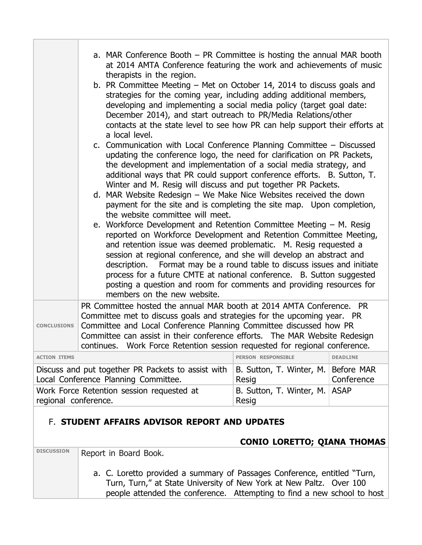| at 2014 AMTA Conference featuring the work and achievements of music<br>therapists in the region.<br>b. PR Committee Meeting – Met on October 14, 2014 to discuss goals and<br>strategies for the coming year, including adding additional members,<br>developing and implementing a social media policy (target goal date:<br>December 2014), and start outreach to PR/Media Relations/other<br>contacts at the state level to see how PR can help support their efforts at<br>a local level.<br>c. Communication with Local Conference Planning Committee - Discussed<br>updating the conference logo, the need for clarification on PR Packets,<br>the development and implementation of a social media strategy, and<br>additional ways that PR could support conference efforts. B. Sutton, T.<br>Winter and M. Resig will discuss and put together PR Packets.<br>d. MAR Website Redesign - We Make Nice Websites received the down<br>payment for the site and is completing the site map. Upon completion,<br>the website committee will meet.<br>e. Workforce Development and Retention Committee Meeting - M. Resig<br>reported on Workforce Development and Retention Committee Meeting,<br>and retention issue was deemed problematic. M. Resig requested a<br>session at regional conference, and she will develop an abstract and<br>Format may be a round table to discuss issues and initiate<br>description. |  |  |  |
|-------------------------------------------------------------------------------------------------------------------------------------------------------------------------------------------------------------------------------------------------------------------------------------------------------------------------------------------------------------------------------------------------------------------------------------------------------------------------------------------------------------------------------------------------------------------------------------------------------------------------------------------------------------------------------------------------------------------------------------------------------------------------------------------------------------------------------------------------------------------------------------------------------------------------------------------------------------------------------------------------------------------------------------------------------------------------------------------------------------------------------------------------------------------------------------------------------------------------------------------------------------------------------------------------------------------------------------------------------------------------------------------------------------------------------|--|--|--|
| process for a future CMTE at national conference. B. Sutton suggested<br>posting a question and room for comments and providing resources for<br>members on the new website.                                                                                                                                                                                                                                                                                                                                                                                                                                                                                                                                                                                                                                                                                                                                                                                                                                                                                                                                                                                                                                                                                                                                                                                                                                                  |  |  |  |
| PR Committee hosted the annual MAR booth at 2014 AMTA Conference. PR<br>Committee met to discuss goals and strategies for the upcoming year. PR<br>Committee and Local Conference Planning Committee discussed how PR<br><b>CONCLUSIONS</b><br>Committee can assist in their conference efforts. The MAR Website Redesign<br>continues. Work Force Retention session requested for regional conference.                                                                                                                                                                                                                                                                                                                                                                                                                                                                                                                                                                                                                                                                                                                                                                                                                                                                                                                                                                                                                       |  |  |  |
| <b>ACTION ITEMS</b><br><b>PERSON RESPONSIBLE</b><br><b>DEADLINE</b>                                                                                                                                                                                                                                                                                                                                                                                                                                                                                                                                                                                                                                                                                                                                                                                                                                                                                                                                                                                                                                                                                                                                                                                                                                                                                                                                                           |  |  |  |
| Discuss and put together PR Packets to assist with<br>B. Sutton, T. Winter, M.<br>Before MAR<br>Local Conference Planning Committee.<br>Conference<br>Resig                                                                                                                                                                                                                                                                                                                                                                                                                                                                                                                                                                                                                                                                                                                                                                                                                                                                                                                                                                                                                                                                                                                                                                                                                                                                   |  |  |  |
| Work Force Retention session requested at<br><b>ASAP</b><br>B. Sutton, T. Winter, M.<br>regional conference.<br>Resig                                                                                                                                                                                                                                                                                                                                                                                                                                                                                                                                                                                                                                                                                                                                                                                                                                                                                                                                                                                                                                                                                                                                                                                                                                                                                                         |  |  |  |

## F. **STUDENT AFFAIRS ADVISOR REPORT AND UPDATES**

### **CONIO LORETTO; QIANA THOMAS**

**DISCUSSION** Report in Board Book.

a. C. Loretto provided a summary of Passages Conference, entitled "Turn, Turn, Turn," at State University of New York at New Paltz. Over 100 people attended the conference. Attempting to find a new school to host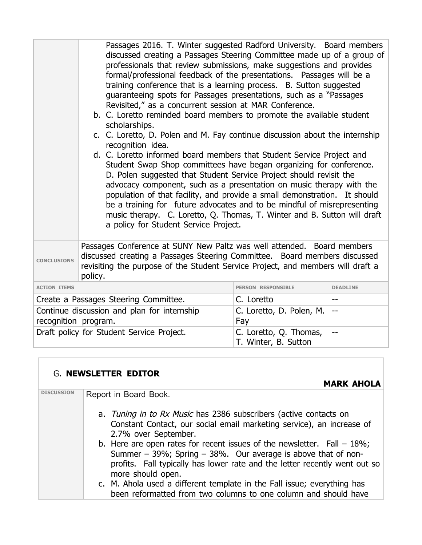|                                                                     | Passages 2016. T. Winter suggested Radford University. Board members<br>discussed creating a Passages Steering Committee made up of a group of<br>professionals that review submissions, make suggestions and provides<br>formal/professional feedback of the presentations. Passages will be a<br>training conference that is a learning process. B. Sutton suggested<br>guaranteeing spots for Passages presentations, such as a "Passages"<br>Revisited," as a concurrent session at MAR Conference.<br>b. C. Loretto reminded board members to promote the available student<br>scholarships.<br>c. C. Loretto, D. Polen and M. Fay continue discussion about the internship<br>recognition idea.<br>d. C. Loretto informed board members that Student Service Project and<br>Student Swap Shop committees have began organizing for conference.<br>D. Polen suggested that Student Service Project should revisit the<br>advocacy component, such as a presentation on music therapy with the<br>population of that facility, and provide a small demonstration. It should<br>be a training for future advocates and to be mindful of misrepresenting<br>music therapy. C. Loretto, Q. Thomas, T. Winter and B. Sutton will draft<br>a policy for Student Service Project. |                                                |                 |
|---------------------------------------------------------------------|---------------------------------------------------------------------------------------------------------------------------------------------------------------------------------------------------------------------------------------------------------------------------------------------------------------------------------------------------------------------------------------------------------------------------------------------------------------------------------------------------------------------------------------------------------------------------------------------------------------------------------------------------------------------------------------------------------------------------------------------------------------------------------------------------------------------------------------------------------------------------------------------------------------------------------------------------------------------------------------------------------------------------------------------------------------------------------------------------------------------------------------------------------------------------------------------------------------------------------------------------------------------------------|------------------------------------------------|-----------------|
| <b>CONCLUSIONS</b>                                                  | Passages Conference at SUNY New Paltz was well attended. Board members<br>discussed creating a Passages Steering Committee. Board members discussed<br>revisiting the purpose of the Student Service Project, and members will draft a<br>policy.                                                                                                                                                                                                                                                                                                                                                                                                                                                                                                                                                                                                                                                                                                                                                                                                                                                                                                                                                                                                                               |                                                |                 |
| <b>ACTION ITEMS</b>                                                 |                                                                                                                                                                                                                                                                                                                                                                                                                                                                                                                                                                                                                                                                                                                                                                                                                                                                                                                                                                                                                                                                                                                                                                                                                                                                                 | <b>PERSON RESPONSIBLE</b>                      | <b>DEADLINE</b> |
|                                                                     | Create a Passages Steering Committee.                                                                                                                                                                                                                                                                                                                                                                                                                                                                                                                                                                                                                                                                                                                                                                                                                                                                                                                                                                                                                                                                                                                                                                                                                                           | C. Loretto                                     | $-$             |
| Continue discussion and plan for internship<br>recognition program. |                                                                                                                                                                                                                                                                                                                                                                                                                                                                                                                                                                                                                                                                                                                                                                                                                                                                                                                                                                                                                                                                                                                                                                                                                                                                                 | C. Loretto, D. Polen, M.<br>Fay                | $-$             |
| Draft policy for Student Service Project.                           |                                                                                                                                                                                                                                                                                                                                                                                                                                                                                                                                                                                                                                                                                                                                                                                                                                                                                                                                                                                                                                                                                                                                                                                                                                                                                 | C. Loretto, Q. Thomas,<br>T. Winter, B. Sutton | --              |

## G. **NEWSLETTER EDITOR**

## **MARK AHOLA**

| <b>DISCUSSION</b> | Report in Board Book.                                                                                                                                                                                                                              |
|-------------------|----------------------------------------------------------------------------------------------------------------------------------------------------------------------------------------------------------------------------------------------------|
|                   | a. Tuning in to Rx Music has 2386 subscribers (active contacts on<br>Constant Contact, our social email marketing service), an increase of<br>2.7% over September.                                                                                 |
|                   | b. Here are open rates for recent issues of the newsletter. Fall $-18\%$ ;<br>Summer $-$ 39%; Spring $-$ 38%. Our average is above that of non-<br>profits. Fall typically has lower rate and the letter recently went out so<br>more should open. |
|                   | c. M. Ahola used a different template in the Fall issue; everything has<br>been reformatted from two columns to one column and should have                                                                                                         |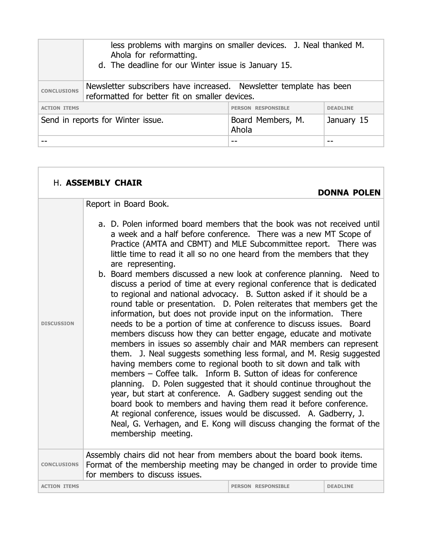|                     | less problems with margins on smaller devices. J. Neal thanked M.<br>Ahola for reformatting.<br>d. The deadline for our Winter issue is January 15. |                            |                 |
|---------------------|-----------------------------------------------------------------------------------------------------------------------------------------------------|----------------------------|-----------------|
| <b>CONCLUSIONS</b>  | Newsletter subscribers have increased. Newsletter template has been<br>reformatted for better fit on smaller devices.                               |                            |                 |
| <b>ACTION ITEMS</b> |                                                                                                                                                     | <b>PERSON RESPONSTBLE</b>  | <b>DEADLINE</b> |
|                     | Send in reports for Winter issue.                                                                                                                   | Board Members, M.<br>Ahola | January 15      |
|                     |                                                                                                                                                     |                            |                 |

|                     | H. ASSEMBLY CHAIR                                                                                                                                                                                                                                                                                                                                                                                                                                                                                                                                                                                                                                                                                                                                                                                                                                                                                                                                                                                                                                                                                                                                                                                                                                                                                                                                                                                                                                                                                                                     |                           |                    |
|---------------------|---------------------------------------------------------------------------------------------------------------------------------------------------------------------------------------------------------------------------------------------------------------------------------------------------------------------------------------------------------------------------------------------------------------------------------------------------------------------------------------------------------------------------------------------------------------------------------------------------------------------------------------------------------------------------------------------------------------------------------------------------------------------------------------------------------------------------------------------------------------------------------------------------------------------------------------------------------------------------------------------------------------------------------------------------------------------------------------------------------------------------------------------------------------------------------------------------------------------------------------------------------------------------------------------------------------------------------------------------------------------------------------------------------------------------------------------------------------------------------------------------------------------------------------|---------------------------|--------------------|
|                     |                                                                                                                                                                                                                                                                                                                                                                                                                                                                                                                                                                                                                                                                                                                                                                                                                                                                                                                                                                                                                                                                                                                                                                                                                                                                                                                                                                                                                                                                                                                                       |                           | <b>DONNA POLEN</b> |
| <b>DISCUSSION</b>   | Report in Board Book.<br>a. D. Polen informed board members that the book was not received until<br>a week and a half before conference. There was a new MT Scope of<br>Practice (AMTA and CBMT) and MLE Subcommittee report. There was<br>little time to read it all so no one heard from the members that they<br>are representing.<br>b. Board members discussed a new look at conference planning. Need to<br>discuss a period of time at every regional conference that is dedicated<br>to regional and national advocacy. B. Sutton asked if it should be a<br>round table or presentation. D. Polen reiterates that members get the<br>information, but does not provide input on the information. There<br>needs to be a portion of time at conference to discuss issues. Board<br>members discuss how they can better engage, educate and motivate<br>members in issues so assembly chair and MAR members can represent<br>them. J. Neal suggests something less formal, and M. Resig suggested<br>having members come to regional booth to sit down and talk with<br>members - Coffee talk. Inform B. Sutton of ideas for conference<br>planning. D. Polen suggested that it should continue throughout the<br>year, but start at conference. A. Gadbery suggest sending out the<br>board book to members and having them read it before conference.<br>At regional conference, issues would be discussed. A. Gadberry, J.<br>Neal, G. Verhagen, and E. Kong will discuss changing the format of the<br>membership meeting. |                           |                    |
| <b>CONCLUSIONS</b>  | Assembly chairs did not hear from members about the board book items.<br>Format of the membership meeting may be changed in order to provide time<br>for members to discuss issues.                                                                                                                                                                                                                                                                                                                                                                                                                                                                                                                                                                                                                                                                                                                                                                                                                                                                                                                                                                                                                                                                                                                                                                                                                                                                                                                                                   |                           |                    |
| <b>ACTION ITEMS</b> |                                                                                                                                                                                                                                                                                                                                                                                                                                                                                                                                                                                                                                                                                                                                                                                                                                                                                                                                                                                                                                                                                                                                                                                                                                                                                                                                                                                                                                                                                                                                       | <b>PERSON RESPONSIBLE</b> | <b>DEADLINE</b>    |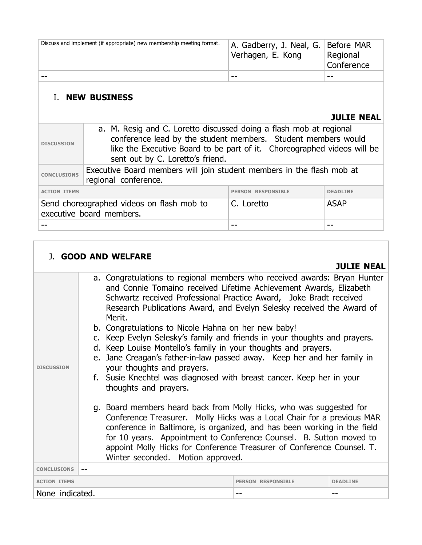| Discuss and implement (if appropriate) new membership meeting format. | A. Gadberry, J. Neal, G. Before MAR<br>Verhagen, E. Kong | Regional<br>Conference |
|-----------------------------------------------------------------------|----------------------------------------------------------|------------------------|
|                                                                       | $- -$                                                    | --                     |
|                                                                       |                                                          |                        |

## I. **NEW BUSINESS**

| <b>DISCUSSION</b>   | a. M. Resig and C. Loretto discussed doing a flash mob at regional<br>conference lead by the student members. Student members would<br>like the Executive Board to be part of it. Choreographed videos will be<br>sent out by C. Loretto's friend. |                           |                 |
|---------------------|----------------------------------------------------------------------------------------------------------------------------------------------------------------------------------------------------------------------------------------------------|---------------------------|-----------------|
| <b>CONCLUSIONS</b>  | Executive Board members will join student members in the flash mob at<br>regional conference.                                                                                                                                                      |                           |                 |
| <b>ACTION ITEMS</b> |                                                                                                                                                                                                                                                    | <b>PERSON RESPONSIBLE</b> | <b>DEADLINE</b> |
|                     | Send choreographed videos on flash mob to<br>executive board members.                                                                                                                                                                              | C. Loretto                | <b>ASAP</b>     |
|                     |                                                                                                                                                                                                                                                    | --                        |                 |

| <b>J. GOOD AND WELFARE</b>                                                                                                                                                                                                                                                                                                                                                                                                                                                                                                                                                                                                                                                                                                                                                                                                                                                                                                                                                                                                                                                                                                                                      |                           |                   |
|-----------------------------------------------------------------------------------------------------------------------------------------------------------------------------------------------------------------------------------------------------------------------------------------------------------------------------------------------------------------------------------------------------------------------------------------------------------------------------------------------------------------------------------------------------------------------------------------------------------------------------------------------------------------------------------------------------------------------------------------------------------------------------------------------------------------------------------------------------------------------------------------------------------------------------------------------------------------------------------------------------------------------------------------------------------------------------------------------------------------------------------------------------------------|---------------------------|-------------------|
|                                                                                                                                                                                                                                                                                                                                                                                                                                                                                                                                                                                                                                                                                                                                                                                                                                                                                                                                                                                                                                                                                                                                                                 |                           | <b>JULIE NEAL</b> |
| a. Congratulations to regional members who received awards: Bryan Hunter<br>and Connie Tomaino received Lifetime Achievement Awards, Elizabeth<br>Schwartz received Professional Practice Award, Joke Bradt received<br>Research Publications Award, and Evelyn Selesky received the Award of<br>Merit.<br>b. Congratulations to Nicole Hahna on her new baby!<br>c. Keep Evelyn Selesky's family and friends in your thoughts and prayers.<br>d. Keep Louise Montello's family in your thoughts and prayers.<br>e. Jane Creagan's father-in-law passed away. Keep her and her family in<br>your thoughts and prayers.<br><b>DISCUSSION</b><br>f. Susie Knechtel was diagnosed with breast cancer. Keep her in your<br>thoughts and prayers.<br>g. Board members heard back from Molly Hicks, who was suggested for<br>Conference Treasurer. Molly Hicks was a Local Chair for a previous MAR<br>conference in Baltimore, is organized, and has been working in the field<br>for 10 years. Appointment to Conference Counsel. B. Sutton moved to<br>appoint Molly Hicks for Conference Treasurer of Conference Counsel. T.<br>Winter seconded. Motion approved. |                           |                   |
| <b>CONCLUSIONS</b>                                                                                                                                                                                                                                                                                                                                                                                                                                                                                                                                                                                                                                                                                                                                                                                                                                                                                                                                                                                                                                                                                                                                              |                           |                   |
| <b>ACTION ITEMS</b>                                                                                                                                                                                                                                                                                                                                                                                                                                                                                                                                                                                                                                                                                                                                                                                                                                                                                                                                                                                                                                                                                                                                             | <b>PERSON RESPONSIBLE</b> | <b>DEADLINE</b>   |
| None indicated.                                                                                                                                                                                                                                                                                                                                                                                                                                                                                                                                                                                                                                                                                                                                                                                                                                                                                                                                                                                                                                                                                                                                                 | --                        | --                |